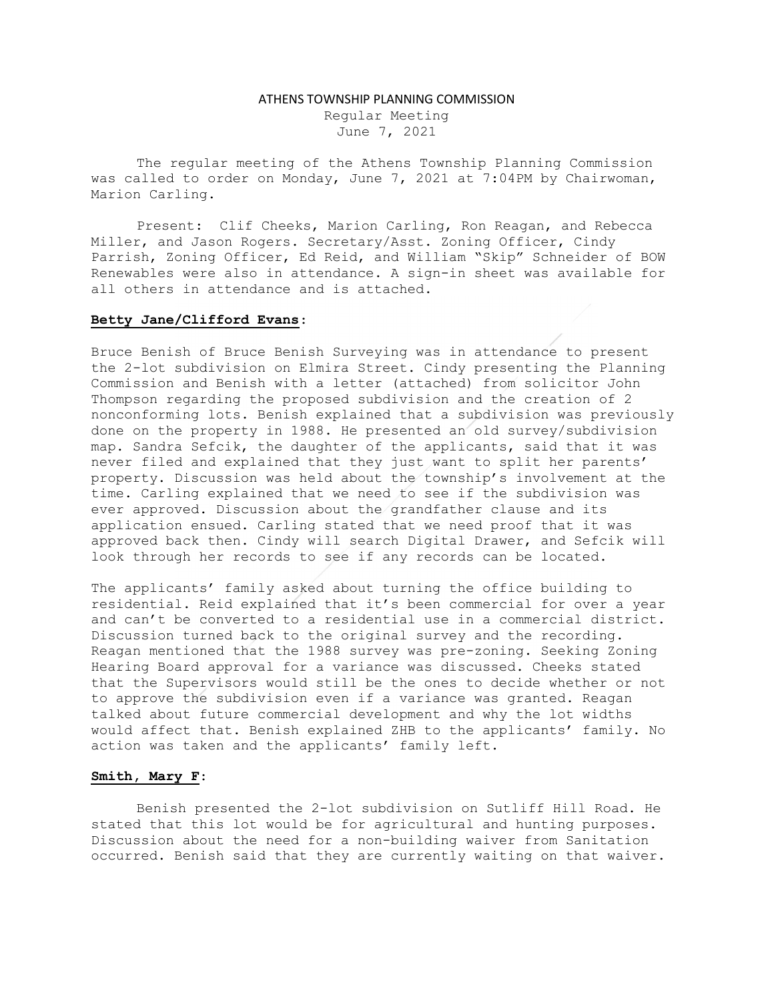#### ATHENS TOWNSHIP PLANNING COMMISSION

Regular Meeting June 7, 2021

The regular meeting of the Athens Township Planning Commission was called to order on Monday, June 7, 2021 at 7:04PM by Chairwoman, Marion Carling.

Present: Clif Cheeks, Marion Carling, Ron Reagan, and Rebecca Miller, and Jason Rogers. Secretary/Asst. Zoning Officer, Cindy Parrish, Zoning Officer, Ed Reid, and William "Skip" Schneider of BOW Renewables were also in attendance. A sign-in sheet was available for all others in attendance and is attached.

### Betty Jane/Clifford Evans:

Bruce Benish of Bruce Benish Surveying was in attendance to present the 2-lot subdivision on Elmira Street. Cindy presenting the Planning Commission and Benish with a letter (attached) from solicitor John Thompson regarding the proposed subdivision and the creation of 2 nonconforming lots. Benish explained that a subdivision was previously done on the property in 1988. He presented an old survey/subdivision map. Sandra Sefcik, the daughter of the applicants, said that it was never filed and explained that they just want to split her parents' property. Discussion was held about the township's involvement at the time. Carling explained that we need to see if the subdivision was ever approved. Discussion about the grandfather clause and its application ensued. Carling stated that we need proof that it was approved back then. Cindy will search Digital Drawer, and Sefcik will look through her records to see if any records can be located.

The applicants' family asked about turning the office building to residential. Reid explained that it's been commercial for over a year and can't be converted to a residential use in a commercial district. Discussion turned back to the original survey and the recording. Reagan mentioned that the 1988 survey was pre-zoning. Seeking Zoning Hearing Board approval for a variance was discussed. Cheeks stated that the Supervisors would still be the ones to decide whether or not to approve the subdivision even if a variance was granted. Reagan talked about future commercial development and why the lot widths would affect that. Benish explained ZHB to the applicants' family. No action was taken and the applicants' family left.

# Smith, Mary F:

Benish presented the 2-lot subdivision on Sutliff Hill Road. He stated that this lot would be for agricultural and hunting purposes. Discussion about the need for a non-building waiver from Sanitation occurred. Benish said that they are currently waiting on that waiver.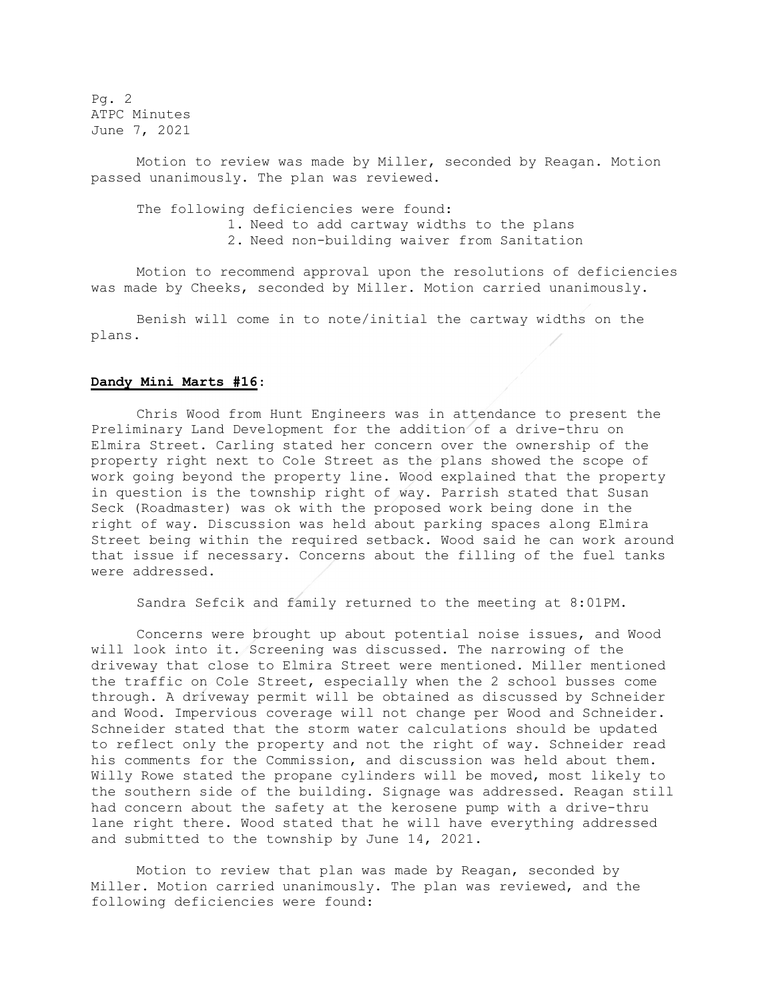Pg. 2 ATPC Minutes June 7, 2021

Motion to review was made by Miller, seconded by Reagan. Motion passed unanimously. The plan was reviewed.

The following deficiencies were found: 1. Need to add cartway widths to the plans 2. Need non-building waiver from Sanitation

Motion to recommend approval upon the resolutions of deficiencies was made by Cheeks, seconded by Miller. Motion carried unanimously.

Benish will come in to note/initial the cartway widths on the plans.

## Dandy Mini Marts #16:

Chris Wood from Hunt Engineers was in attendance to present the Preliminary Land Development for the addition of a drive-thru on Elmira Street. Carling stated her concern over the ownership of the property right next to Cole Street as the plans showed the scope of work going beyond the property line. Wood explained that the property in question is the township right of way. Parrish stated that Susan Seck (Roadmaster) was ok with the proposed work being done in the right of way. Discussion was held about parking spaces along Elmira Street being within the required setback. Wood said he can work around that issue if necessary. Concerns about the filling of the fuel tanks were addressed.

Sandra Sefcik and family returned to the meeting at 8:01PM.

Concerns were brought up about potential noise issues, and Wood will look into it. Screening was discussed. The narrowing of the driveway that close to Elmira Street were mentioned. Miller mentioned the traffic on Cole Street, especially when the 2 school busses come through. A driveway permit will be obtained as discussed by Schneider and Wood. Impervious coverage will not change per Wood and Schneider. Schneider stated that the storm water calculations should be updated to reflect only the property and not the right of way. Schneider read his comments for the Commission, and discussion was held about them. Willy Rowe stated the propane cylinders will be moved, most likely to the southern side of the building. Signage was addressed. Reagan still had concern about the safety at the kerosene pump with a drive-thru lane right there. Wood stated that he will have everything addressed and submitted to the township by June 14, 2021.

Motion to review that plan was made by Reagan, seconded by Miller. Motion carried unanimously. The plan was reviewed, and the following deficiencies were found: